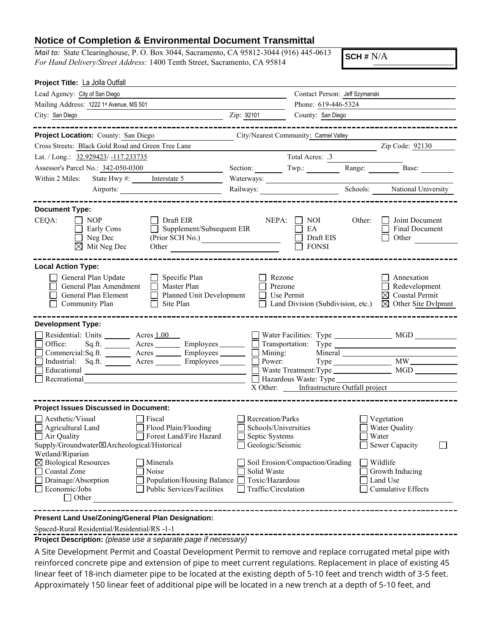## **Notice of Completion & Environmental Document Transmittal**

*Mail to:* State Clearinghouse, P. O. Box 3044, Sacramento, CA 95812-3044 (916) 445-0613 *For Hand Delivery/Street Address:* 1400 Tenth Street, Sacramento, CA 95814

**SCH #** N/A

| Lead Agency: City of San Diego<br>Contact Person: Jeff Szymanski<br>Phone: 619-446-5324<br>Mailing Address: 1222 1st Avenue, MS 501<br>Zip: 92101<br>City: San Diego<br>County: San Diego<br><u> 1989 - Johann Barbara, martxa alemaniar a</u><br>------------------<br>_______________________<br>Project Location: County: San Diego<br>City/Nearest Community: Carmel Valley<br><u> 1990 - Johann Barbara, martx</u><br>Zip Code: 92130<br>Cross Streets: Black Gold Road and Green Tree Lane<br>Total Acres: .3<br>Lat. / Long.: 32.929423/-117.233735<br>Assessor's Parcel No.: 342-050-0300<br>Base:<br>Section: Twp.:<br>Range: $\frac{1}{\sqrt{1-\frac{1}{2}}\cdot\frac{1}{\sqrt{1-\frac{1}{2}}}}$<br>Within 2 Miles: State Hwy #: Interstate 5<br>Schools: National University<br>Airports:<br><b>Document Type:</b><br>CEQA:<br>$\vert$   NOP<br>Draft EIR<br>NEPA:<br>$\vert$ $\vert$ NOI<br>Other:<br>Joint Document<br>Supplement/Subsequent EIR<br>Final Document<br>Early Cons<br>EA<br>Neg Dec<br>Draft EIS<br>(Prior SCH No.)<br>Other<br>$\boxtimes$ Mit Neg Dec<br><b>FONSI</b><br>Other <u>Contract of the Contract of the Contract of the Contract of the Contract of the Contract of the Contract of the Contract of the Contract of the Contract of the Contract of the Contract of the Contract of the Contrac</u><br><b>Local Action Type:</b> |
|-------------------------------------------------------------------------------------------------------------------------------------------------------------------------------------------------------------------------------------------------------------------------------------------------------------------------------------------------------------------------------------------------------------------------------------------------------------------------------------------------------------------------------------------------------------------------------------------------------------------------------------------------------------------------------------------------------------------------------------------------------------------------------------------------------------------------------------------------------------------------------------------------------------------------------------------------------------------------------------------------------------------------------------------------------------------------------------------------------------------------------------------------------------------------------------------------------------------------------------------------------------------------------------------------------------------------------------------------------------------------|
|                                                                                                                                                                                                                                                                                                                                                                                                                                                                                                                                                                                                                                                                                                                                                                                                                                                                                                                                                                                                                                                                                                                                                                                                                                                                                                                                                                         |
|                                                                                                                                                                                                                                                                                                                                                                                                                                                                                                                                                                                                                                                                                                                                                                                                                                                                                                                                                                                                                                                                                                                                                                                                                                                                                                                                                                         |
|                                                                                                                                                                                                                                                                                                                                                                                                                                                                                                                                                                                                                                                                                                                                                                                                                                                                                                                                                                                                                                                                                                                                                                                                                                                                                                                                                                         |
|                                                                                                                                                                                                                                                                                                                                                                                                                                                                                                                                                                                                                                                                                                                                                                                                                                                                                                                                                                                                                                                                                                                                                                                                                                                                                                                                                                         |
|                                                                                                                                                                                                                                                                                                                                                                                                                                                                                                                                                                                                                                                                                                                                                                                                                                                                                                                                                                                                                                                                                                                                                                                                                                                                                                                                                                         |
|                                                                                                                                                                                                                                                                                                                                                                                                                                                                                                                                                                                                                                                                                                                                                                                                                                                                                                                                                                                                                                                                                                                                                                                                                                                                                                                                                                         |
|                                                                                                                                                                                                                                                                                                                                                                                                                                                                                                                                                                                                                                                                                                                                                                                                                                                                                                                                                                                                                                                                                                                                                                                                                                                                                                                                                                         |
|                                                                                                                                                                                                                                                                                                                                                                                                                                                                                                                                                                                                                                                                                                                                                                                                                                                                                                                                                                                                                                                                                                                                                                                                                                                                                                                                                                         |
|                                                                                                                                                                                                                                                                                                                                                                                                                                                                                                                                                                                                                                                                                                                                                                                                                                                                                                                                                                                                                                                                                                                                                                                                                                                                                                                                                                         |
|                                                                                                                                                                                                                                                                                                                                                                                                                                                                                                                                                                                                                                                                                                                                                                                                                                                                                                                                                                                                                                                                                                                                                                                                                                                                                                                                                                         |
|                                                                                                                                                                                                                                                                                                                                                                                                                                                                                                                                                                                                                                                                                                                                                                                                                                                                                                                                                                                                                                                                                                                                                                                                                                                                                                                                                                         |
|                                                                                                                                                                                                                                                                                                                                                                                                                                                                                                                                                                                                                                                                                                                                                                                                                                                                                                                                                                                                                                                                                                                                                                                                                                                                                                                                                                         |
| General Plan Update<br>Specific Plan<br>Rezone<br>Annexation<br>$\perp$<br>Redevelopment<br>General Plan Amendment<br>Master Plan<br>Prezone<br>Planned Unit Development<br>$\boxtimes$ Coastal Permit<br>General Plan Element<br>Use Permit<br>$\Box$<br>Community Plan<br>Site Plan<br>Land Division (Subdivision, etc.)<br>$\boxtimes$ Other Site Dvlpmnt                                                                                                                                                                                                                                                                                                                                                                                                                                                                                                                                                                                                                                                                                                                                                                                                                                                                                                                                                                                                            |
| <b>Development Type:</b>                                                                                                                                                                                                                                                                                                                                                                                                                                                                                                                                                                                                                                                                                                                                                                                                                                                                                                                                                                                                                                                                                                                                                                                                                                                                                                                                                |
| Residential: Units ________ Acres 1.00                                                                                                                                                                                                                                                                                                                                                                                                                                                                                                                                                                                                                                                                                                                                                                                                                                                                                                                                                                                                                                                                                                                                                                                                                                                                                                                                  |
| Office: Sq.ft. _______ Acres _______ Employees ______ _ Transportation: Type ______________________                                                                                                                                                                                                                                                                                                                                                                                                                                                                                                                                                                                                                                                                                                                                                                                                                                                                                                                                                                                                                                                                                                                                                                                                                                                                     |
| $Commercial:Sq.fit.$ Acres $\_\_\_\_\$ Employees $\_\_\_\_\_\$ Mining:                                                                                                                                                                                                                                                                                                                                                                                                                                                                                                                                                                                                                                                                                                                                                                                                                                                                                                                                                                                                                                                                                                                                                                                                                                                                                                  |
| Industrial: Sq.ft. $\qquad \qquad$ Acres $\qquad \qquad$ Employees $\qquad \qquad$ Power:                                                                                                                                                                                                                                                                                                                                                                                                                                                                                                                                                                                                                                                                                                                                                                                                                                                                                                                                                                                                                                                                                                                                                                                                                                                                               |
| Recreational                                                                                                                                                                                                                                                                                                                                                                                                                                                                                                                                                                                                                                                                                                                                                                                                                                                                                                                                                                                                                                                                                                                                                                                                                                                                                                                                                            |
| X Other: Infrastructure Outfall project                                                                                                                                                                                                                                                                                                                                                                                                                                                                                                                                                                                                                                                                                                                                                                                                                                                                                                                                                                                                                                                                                                                                                                                                                                                                                                                                 |
|                                                                                                                                                                                                                                                                                                                                                                                                                                                                                                                                                                                                                                                                                                                                                                                                                                                                                                                                                                                                                                                                                                                                                                                                                                                                                                                                                                         |
| <b>Project Issues Discussed in Document:</b>                                                                                                                                                                                                                                                                                                                                                                                                                                                                                                                                                                                                                                                                                                                                                                                                                                                                                                                                                                                                                                                                                                                                                                                                                                                                                                                            |
| $\Box$ Aesthetic/Visual<br>Recreation/Parks<br>$\blacksquare$ Fiscal<br>$\Box$ Vegetation<br>Schools/Universities<br>Agricultural Land<br>$\Box$ Flood Plain/Flooding<br>□ Water Quality                                                                                                                                                                                                                                                                                                                                                                                                                                                                                                                                                                                                                                                                                                                                                                                                                                                                                                                                                                                                                                                                                                                                                                                |
| Air Quality<br>Forest Land/Fire Hazard<br>$\Box$ Water<br>Septic Systems                                                                                                                                                                                                                                                                                                                                                                                                                                                                                                                                                                                                                                                                                                                                                                                                                                                                                                                                                                                                                                                                                                                                                                                                                                                                                                |
| Supply/Groundwater区Archeological/Historical<br>Geologic/Seismic<br>$\Box$ Sewer Capacity                                                                                                                                                                                                                                                                                                                                                                                                                                                                                                                                                                                                                                                                                                                                                                                                                                                                                                                                                                                                                                                                                                                                                                                                                                                                                |
| Wetland/Riparian                                                                                                                                                                                                                                                                                                                                                                                                                                                                                                                                                                                                                                                                                                                                                                                                                                                                                                                                                                                                                                                                                                                                                                                                                                                                                                                                                        |
| $\boxtimes$ Biological Resources<br>Minerals<br>∣ Wildlife<br>Soil Erosion/Compaction/Grading                                                                                                                                                                                                                                                                                                                                                                                                                                                                                                                                                                                                                                                                                                                                                                                                                                                                                                                                                                                                                                                                                                                                                                                                                                                                           |
| Coastal Zone<br>Noise<br>Solid Waste<br>Growth Inducing                                                                                                                                                                                                                                                                                                                                                                                                                                                                                                                                                                                                                                                                                                                                                                                                                                                                                                                                                                                                                                                                                                                                                                                                                                                                                                                 |
| Drainage/Absorption<br>Toxic/Hazardous<br>Population/Housing Balance [<br>Land Use<br>Public Services/Facilities                                                                                                                                                                                                                                                                                                                                                                                                                                                                                                                                                                                                                                                                                                                                                                                                                                                                                                                                                                                                                                                                                                                                                                                                                                                        |
| Economic/Jobs<br>Traffic/Circulation<br>Cumulative Effects<br>$\Box$ Other                                                                                                                                                                                                                                                                                                                                                                                                                                                                                                                                                                                                                                                                                                                                                                                                                                                                                                                                                                                                                                                                                                                                                                                                                                                                                              |

**Present Land Use/Zoning/General Plan Designation:**

Spaced-Rural Residential/Residential/RS -1-1

**Project Description:** *(please use a separate page if necessary)*

A Site Development Permit and Coastal Development Permit to remove and replace corrugated metal pipe with reinforced concrete pipe and extension of pipe to meet current regulations. Replacement in place of existing 45 linear feet of 18-inch diameter pipe to be located at the existing depth of 5-10 feet and trench width of 3-5 feet. Approximately 150 linear feet of additional pipe will be located in a new trench at a depth of 5-10 feet, and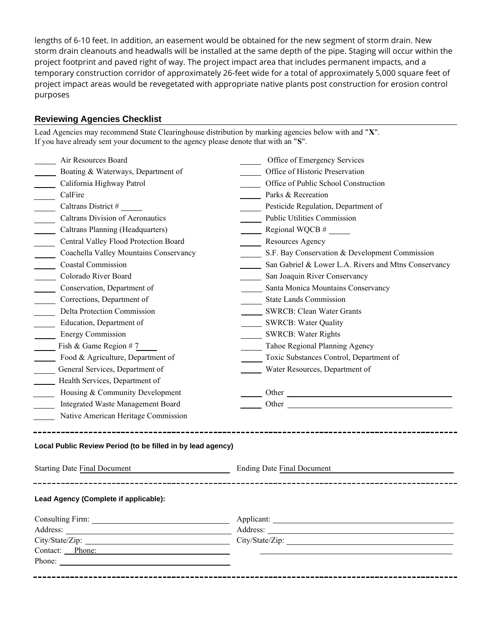lengths of 6-10 feet. In addition, an easement would be obtained for the new segment of storm drain. New storm drain cleanouts and headwalls will be installed at the same depth of the pipe. Staging will occur within the project footprint and paved right of way. The project impact area that includes permanent impacts, and a temporary construction corridor of approximately 26-feet wide for a total of approximately 5,000 square feet of project impact areas would be revegetated with appropriate native plants post construction for erosion control purposes

Lead Agencies may recommend State Clearinghouse distribution by marking agencies below with and "**X**".

## **Reviewing Agencies Checklist**

| Air Resources Board                                         | Office of Emergency Services                                                                                                                                                                                                   |  |
|-------------------------------------------------------------|--------------------------------------------------------------------------------------------------------------------------------------------------------------------------------------------------------------------------------|--|
| Boating & Waterways, Department of                          | Office of Historic Preservation                                                                                                                                                                                                |  |
| California Highway Patrol                                   | Office of Public School Construction                                                                                                                                                                                           |  |
| CalFire                                                     | Parks & Recreation                                                                                                                                                                                                             |  |
| Caltrans District #                                         | Pesticide Regulation, Department of                                                                                                                                                                                            |  |
| Caltrans Division of Aeronautics                            | Public Utilities Commission                                                                                                                                                                                                    |  |
| Caltrans Planning (Headquarters)                            |                                                                                                                                                                                                                                |  |
| Central Valley Flood Protection Board                       | Resources Agency                                                                                                                                                                                                               |  |
| Coachella Valley Mountains Conservancy                      | S.F. Bay Conservation & Development Commission                                                                                                                                                                                 |  |
| <b>Coastal Commission</b>                                   | San Gabriel & Lower L.A. Rivers and Mtns Conservancy                                                                                                                                                                           |  |
| Colorado River Board                                        | San Joaquin River Conservancy                                                                                                                                                                                                  |  |
| Conservation, Department of                                 | Santa Monica Mountains Conservancy                                                                                                                                                                                             |  |
| Corrections, Department of                                  | <b>State Lands Commission</b>                                                                                                                                                                                                  |  |
| Delta Protection Commission                                 | <b>SWRCB: Clean Water Grants</b>                                                                                                                                                                                               |  |
| Education, Department of                                    | SWRCB: Water Quality<br>SWRCB: Water Rights                                                                                                                                                                                    |  |
| <b>Energy Commission</b>                                    |                                                                                                                                                                                                                                |  |
| Fish & Game Region #7                                       | Tahoe Regional Planning Agency                                                                                                                                                                                                 |  |
| Food & Agriculture, Department of                           | Toxic Substances Control, Department of                                                                                                                                                                                        |  |
| General Services, Department of                             | Water Resources, Department of                                                                                                                                                                                                 |  |
| Health Services, Department of                              |                                                                                                                                                                                                                                |  |
| Housing & Community Development                             |                                                                                                                                                                                                                                |  |
| Integrated Waste Management Board                           | Other contracts are all the contracts of the contracts of the contracts of the contracts of the contracts of the contracts of the contracts of the contracts of the contracts of the contracts of the contracts of the contrac |  |
| Native American Heritage Commission                         |                                                                                                                                                                                                                                |  |
|                                                             |                                                                                                                                                                                                                                |  |
| Local Public Review Period (to be filled in by lead agency) |                                                                                                                                                                                                                                |  |
| <b>Starting Date Final Document</b>                         | <b>Ending Date Final Document</b>                                                                                                                                                                                              |  |
| Lead Agency (Complete if applicable):                       |                                                                                                                                                                                                                                |  |
|                                                             | Applicant:                                                                                                                                                                                                                     |  |
|                                                             |                                                                                                                                                                                                                                |  |
|                                                             |                                                                                                                                                                                                                                |  |
| Contact: Phone:                                             |                                                                                                                                                                                                                                |  |
|                                                             |                                                                                                                                                                                                                                |  |